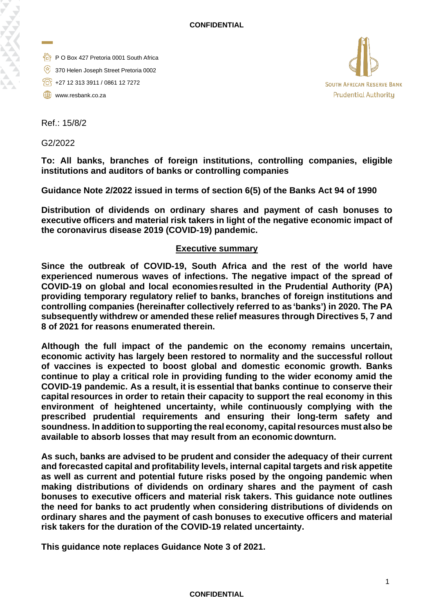- P O Box 427 Pretoria 0001 South Africa
- 370 Helen Joseph Street Pretoria 0002
- +27 12 313 3911 / 0861 12 7272
- www.resbank.co.za



Ref.: 15/8/2

G2/2022

**To: All banks, branches of foreign institutions, controlling companies, eligible institutions and auditors of banks or controlling companies**

**Guidance Note 2/2022 issued in terms of section 6(5) of the Banks Act 94 of 1990**

**Distribution of dividends on ordinary shares and payment of cash bonuses to executive officers and material risk takers in light of the negative economic impact of the coronavirus disease 2019 (COVID-19) pandemic.**

## **Executive summary**

**Since the outbreak of COVID-19, South Africa and the rest of the world have experienced numerous waves of infections. The negative impact of the spread of COVID-19 on global and local economiesresulted in the Prudential Authority (PA) providing temporary regulatory relief to banks, branches of foreign institutions and controlling companies (hereinafter collectively referred to as 'banks') in 2020. The PA subsequently withdrew or amended these relief measures through Directives 5, 7 and 8 of 2021 for reasons enumerated therein.**

**Although the full impact of the pandemic on the economy remains uncertain, economic activity has largely been restored to normality and the successful rollout of vaccines is expected to boost global and domestic economic growth. Banks continue to play a critical role in providing funding to the wider economy amid the COVID-19 pandemic. As a result, it is essential that banks continue to conserve their capital resources in order to retain their capacity to support the real economy in this environment of heightened uncertainty, while continuously complying with the prescribed prudential requirements and ensuring their long-term safety and soundness. In addition to supporting the real economy, capitalresources must also be available to absorb losses that may result from an economic downturn.**

**As such, banks are advised to be prudent and consider the adequacy of their current and forecasted capital and profitability levels, internal capital targets and risk appetite as well as current and potential future risks posed by the ongoing pandemic when making distributions of dividends on ordinary shares and the payment of cash bonuses to executive officers and material risk takers. This guidance note outlines the need for banks to act prudently when considering distributions of dividends on ordinary shares and the payment of cash bonuses to executive officers and material risk takers for the duration of the COVID-19 related uncertainty.** 

**This guidance note replaces Guidance Note 3 of 2021.**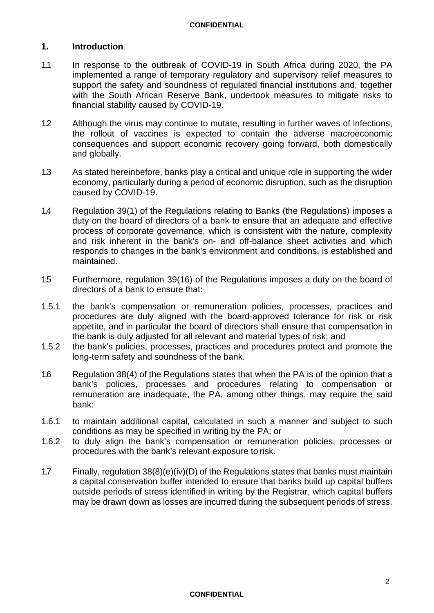## **1. Introduction**

- 1.1 In response to the outbreak of COVID-19 in South Africa during 2020, the PA implemented a range of temporary regulatory and supervisory relief measures to support the safety and soundness of regulated financial institutions and, together with the South African Reserve Bank, undertook measures to mitigate risks to financial stability caused by COVID-19.
- 1.2 Although the virus may continue to mutate, resulting in further waves of infections, the rollout of vaccines is expected to contain the adverse macroeconomic consequences and support economic recovery going forward, both domestically and globally.
- 1.3 As stated hereinbefore, banks play a critical and unique role in supporting the wider economy, particularly during a period of economic disruption, such as the disruption caused by COVID-19.
- 1.4 Regulation 39(1) of the Regulations relating to Banks (the Regulations) imposes a duty on the board of directors of a bank to ensure that an adequate and effective process of corporate governance, which is consistent with the nature, complexity and risk inherent in the bank's on- and off-balance sheet activities and which responds to changes in the bank's environment and conditions, is established and maintained.
- 1.5 Furthermore, regulation 39(16) of the Regulations imposes a duty on the board of directors of a bank to ensure that:
- 1.5.1 the bank's compensation or remuneration policies, processes, practices and procedures are duly aligned with the board-approved tolerance for risk or risk appetite, and in particular the board of directors shall ensure that compensation in the bank is duly adjusted for all relevant and material types of risk; and
- 1.5.2 the bank's policies, processes, practices and procedures protect and promote the long-term safety and soundness of the bank.
- 1.6 Regulation 38(4) of the Regulations states that when the PA is of the opinion that a bank's policies, processes and procedures relating to compensation or remuneration are inadequate, the PA, among other things, may require the said bank:
- 1.6.1 to maintain additional capital, calculated in such a manner and subject to such conditions as may be specified in writing by the PA; or
- 1.6.2 to duly align the bank's compensation or remuneration policies, processes or procedures with the bank's relevant exposure to risk.
- 1.7 Finally, regulation 38(8)(e)(iv)(D) of the Regulations states that banks must maintain a capital conservation buffer intended to ensure that banks build up capital buffers outside periods of stress identified in writing by the Registrar, which capital buffers may be drawn down as losses are incurred during the subsequent periods of stress.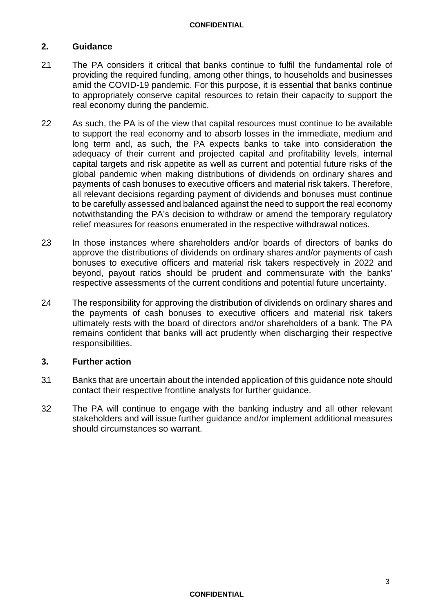## **2. Guidance**

- 2.1 The PA considers it critical that banks continue to fulfil the fundamental role of providing the required funding, among other things, to households and businesses amid the COVID-19 pandemic. For this purpose, it is essential that banks continue to appropriately conserve capital resources to retain their capacity to support the real economy during the pandemic.
- 2.2 As such, the PA is of the view that capital resources must continue to be available to support the real economy and to absorb losses in the immediate, medium and long term and, as such, the PA expects banks to take into consideration the adequacy of their current and projected capital and profitability levels, internal capital targets and risk appetite as well as current and potential future risks of the global pandemic when making distributions of dividends on ordinary shares and payments of cash bonuses to executive officers and material risk takers. Therefore, all relevant decisions regarding payment of dividends and bonuses must continue to be carefully assessed and balanced against the need to support the real economy notwithstanding the PA's decision to withdraw or amend the temporary regulatory relief measures for reasons enumerated in the respective withdrawal notices.
- 2.3 In those instances where shareholders and/or boards of directors of banks do approve the distributions of dividends on ordinary shares and/or payments of cash bonuses to executive officers and material risk takers respectively in 2022 and beyond, payout ratios should be prudent and commensurate with the banks' respective assessments of the current conditions and potential future uncertainty.
- 2.4 The responsibility for approving the distribution of dividends on ordinary shares and the payments of cash bonuses to executive officers and material risk takers ultimately rests with the board of directors and/or shareholders of a bank. The PA remains confident that banks will act prudently when discharging their respective responsibilities.

#### **3. Further action**

- 3.1 Banks that are uncertain about the intended application of this guidance note should contact their respective frontline analysts for further guidance.
- 3.2 The PA will continue to engage with the banking industry and all other relevant stakeholders and will issue further guidance and/or implement additional measures should circumstances so warrant.